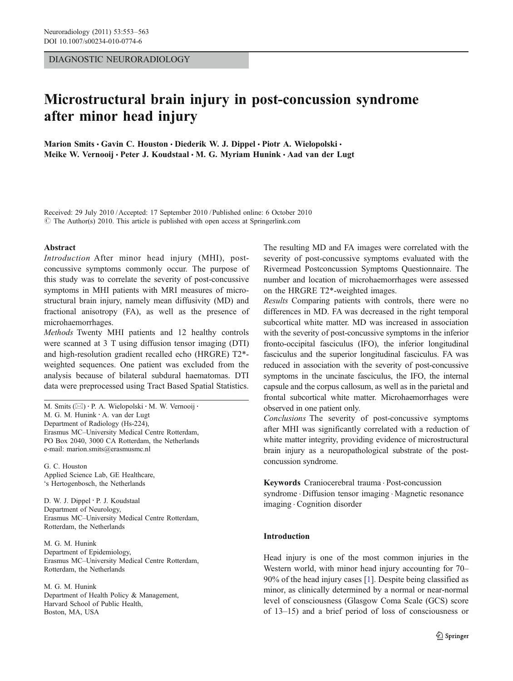## DIAGNOSTIC NEURORADIOLOGY

# Microstructural brain injury in post-concussion syndrome after minor head injury

Marion Smits · Gavin C. Houston · Diederik W. J. Dippel · Piotr A. Wielopolski · Meike W. Vernooij · Peter J. Koudstaal · M. G. Myriam Hunink · Aad van der Lugt

Received: 29 July 2010 /Accepted: 17 September 2010 / Published online: 6 October 2010 © The Author(s) 2010. This article is published with open access at Springerlink.com

## Abstract

Introduction After minor head injury (MHI), postconcussive symptoms commonly occur. The purpose of this study was to correlate the severity of post-concussive symptoms in MHI patients with MRI measures of microstructural brain injury, namely mean diffusivity (MD) and fractional anisotropy (FA), as well as the presence of microhaemorrhages.

Methods Twenty MHI patients and 12 healthy controls were scanned at 3 T using diffusion tensor imaging (DTI) and high-resolution gradient recalled echo (HRGRE) T2\* weighted sequences. One patient was excluded from the analysis because of bilateral subdural haematomas. DTI data were preprocessed using Tract Based Spatial Statistics.

M. Smits  $(\boxtimes) \cdot P$ . A. Wielopolski  $\cdot$  M. W. Vernooij  $\cdot$ M. G. M. Hunink : A. van der Lugt Department of Radiology (Hs-224), Erasmus MC–University Medical Centre Rotterdam, PO Box 2040, 3000 CA Rotterdam, the Netherlands e-mail: marion.smits@erasmusmc.nl

G. C. Houston Applied Science Lab, GE Healthcare, 's Hertogenbosch, the Netherlands

D. W. J. Dippel : P. J. Koudstaal Department of Neurology, Erasmus MC–University Medical Centre Rotterdam, Rotterdam, the Netherlands

M. G. M. Hunink Department of Epidemiology, Erasmus MC–University Medical Centre Rotterdam, Rotterdam, the Netherlands

M. G. M. Hunink Department of Health Policy & Management, Harvard School of Public Health, Boston, MA, USA

The resulting MD and FA images were correlated with the severity of post-concussive symptoms evaluated with the Rivermead Postconcussion Symptoms Questionnaire. The number and location of microhaemorrhages were assessed on the HRGRE T2\*-weighted images.

Results Comparing patients with controls, there were no differences in MD. FA was decreased in the right temporal subcortical white matter. MD was increased in association with the severity of post-concussive symptoms in the inferior fronto-occipital fasciculus (IFO), the inferior longitudinal fasciculus and the superior longitudinal fasciculus. FA was reduced in association with the severity of post-concussive symptoms in the uncinate fasciculus, the IFO, the internal capsule and the corpus callosum, as well as in the parietal and frontal subcortical white matter. Microhaemorrhages were observed in one patient only.

Conclusions The severity of post-concussive symptoms after MHI was significantly correlated with a reduction of white matter integrity, providing evidence of microstructural brain injury as a neuropathological substrate of the postconcussion syndrome.

Keywords Craniocerebral trauma . Post-concussion syndrome . Diffusion tensor imaging . Magnetic resonance imaging . Cognition disorder

## Introduction

Head injury is one of the most common injuries in the Western world, with minor head injury accounting for 70– 90% of the head injury cases [[1\]](#page-8-0). Despite being classified as minor, as clinically determined by a normal or near-normal level of consciousness (Glasgow Coma Scale (GCS) score of 13–15) and a brief period of loss of consciousness or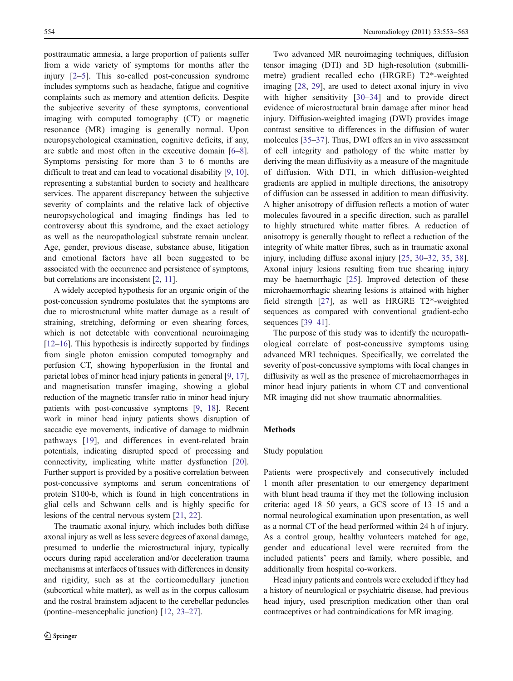posttraumatic amnesia, a large proportion of patients suffer from a wide variety of symptoms for months after the injury [[2](#page-8-0)–[5\]](#page-8-0). This so-called post-concussion syndrome includes symptoms such as headache, fatigue and cognitive complaints such as memory and attention deficits. Despite the subjective severity of these symptoms, conventional imaging with computed tomography (CT) or magnetic resonance (MR) imaging is generally normal. Upon neuropsychological examination, cognitive deficits, if any, are subtle and most often in the executive domain [\[6](#page-8-0)–[8](#page-8-0)]. Symptoms persisting for more than 3 to 6 months are difficult to treat and can lead to vocational disability [\[9](#page-8-0), [10](#page-8-0)], representing a substantial burden to society and healthcare services. The apparent discrepancy between the subjective severity of complaints and the relative lack of objective neuropsychological and imaging findings has led to controversy about this syndrome, and the exact aetiology as well as the neuropathological substrate remain unclear. Age, gender, previous disease, substance abuse, litigation and emotional factors have all been suggested to be associated with the occurrence and persistence of symptoms, but correlations are inconsistent [\[2](#page-8-0), [11](#page-8-0)].

A widely accepted hypothesis for an organic origin of the post-concussion syndrome postulates that the symptoms are due to microstructural white matter damage as a result of straining, stretching, deforming or even shearing forces, which is not detectable with conventional neuroimaging  $[12–16]$  $[12–16]$  $[12–16]$ . This hypothesis is indirectly supported by findings from single photon emission computed tomography and perfusion CT, showing hypoperfusion in the frontal and parietal lobes of minor head injury patients in general [[9,](#page-8-0) [17\]](#page-8-0), and magnetisation transfer imaging, showing a global reduction of the magnetic transfer ratio in minor head injury patients with post-concussive symptoms [\[9](#page-8-0), [18\]](#page-9-0). Recent work in minor head injury patients shows disruption of saccadic eye movements, indicative of damage to midbrain pathways [\[19](#page-9-0)], and differences in event-related brain potentials, indicating disrupted speed of processing and connectivity, implicating white matter dysfunction [[20](#page-9-0)]. Further support is provided by a positive correlation between post-concussive symptoms and serum concentrations of protein S100-b, which is found in high concentrations in glial cells and Schwann cells and is highly specific for lesions of the central nervous system [\[21,](#page-9-0) [22](#page-9-0)].

The traumatic axonal injury, which includes both diffuse axonal injury as well as less severe degrees of axonal damage, presumed to underlie the microstructural injury, typically occurs during rapid acceleration and/or deceleration trauma mechanisms at interfaces of tissues with differences in density and rigidity, such as at the corticomedullary junction (subcortical white matter), as well as in the corpus callosum and the rostral brainstem adjacent to the cerebellar peduncles (pontine–mesencephalic junction) [\[12](#page-8-0), [23](#page-9-0)–[27](#page-9-0)].

Two advanced MR neuroimaging techniques, diffusion tensor imaging (DTI) and 3D high-resolution (submillimetre) gradient recalled echo (HRGRE) T2\*-weighted imaging [[28,](#page-9-0) [29\]](#page-9-0), are used to detect axonal injury in vivo with higher sensitivity [[30](#page-9-0)–[34](#page-9-0)] and to provide direct evidence of microstructural brain damage after minor head injury. Diffusion-weighted imaging (DWI) provides image contrast sensitive to differences in the diffusion of water molecules [[35](#page-9-0)–[37\]](#page-9-0). Thus, DWI offers an in vivo assessment of cell integrity and pathology of the white matter by deriving the mean diffusivity as a measure of the magnitude of diffusion. With DTI, in which diffusion-weighted gradients are applied in multiple directions, the anisotropy of diffusion can be assessed in addition to mean diffusivity. A higher anisotropy of diffusion reflects a motion of water molecules favoured in a specific direction, such as parallel to highly structured white matter fibres. A reduction of anisotropy is generally thought to reflect a reduction of the integrity of white matter fibres, such as in traumatic axonal injury, including diffuse axonal injury [\[25](#page-9-0), [30](#page-9-0)–[32,](#page-9-0) [35,](#page-9-0) [38\]](#page-9-0). Axonal injury lesions resulting from true shearing injury may be haemorrhagic [\[25](#page-9-0)]. Improved detection of these microhaemorrhagic shearing lesions is attained with higher field strength [[27\]](#page-9-0), as well as HRGRE T2\*-weighted sequences as compared with conventional gradient-echo sequences [[39](#page-9-0)–[41\]](#page-9-0).

The purpose of this study was to identify the neuropathological correlate of post-concussive symptoms using advanced MRI techniques. Specifically, we correlated the severity of post-concussive symptoms with focal changes in diffusivity as well as the presence of microhaemorrhages in minor head injury patients in whom CT and conventional MR imaging did not show traumatic abnormalities.

# Methods

## Study population

Patients were prospectively and consecutively included 1 month after presentation to our emergency department with blunt head trauma if they met the following inclusion criteria: aged 18–50 years, a GCS score of 13–15 and a normal neurological examination upon presentation, as well as a normal CT of the head performed within 24 h of injury. As a control group, healthy volunteers matched for age, gender and educational level were recruited from the included patients' peers and family, where possible, and additionally from hospital co-workers.

Head injury patients and controls were excluded if they had a history of neurological or psychiatric disease, had previous head injury, used prescription medication other than oral contraceptives or had contraindications for MR imaging.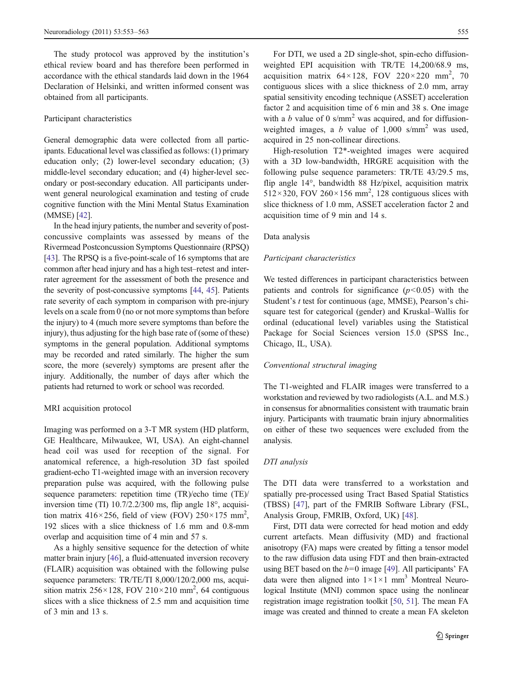The study protocol was approved by the institution's ethical review board and has therefore been performed in accordance with the ethical standards laid down in the 1964 Declaration of Helsinki, and written informed consent was obtained from all participants.

# Participant characteristics

General demographic data were collected from all participants. Educational level was classified as follows: (1) primary education only; (2) lower-level secondary education; (3) middle-level secondary education; and (4) higher-level secondary or post-secondary education. All participants underwent general neurological examination and testing of crude cognitive function with the Mini Mental Status Examination (MMSE) [[42\]](#page-9-0).

In the head injury patients, the number and severity of postconcussive complaints was assessed by means of the Rivermead Postconcussion Symptoms Questionnaire (RPSQ) [\[43\]](#page-9-0). The RPSQ is a five-point-scale of 16 symptoms that are common after head injury and has a high test–retest and interrater agreement for the assessment of both the presence and the severity of post-concussive symptoms [\[44,](#page-9-0) [45\]](#page-9-0). Patients rate severity of each symptom in comparison with pre-injury levels on a scale from 0 (no or not more symptoms than before the injury) to 4 (much more severe symptoms than before the injury), thus adjusting for the high base rate of (some of these) symptoms in the general population. Additional symptoms may be recorded and rated similarly. The higher the sum score, the more (severely) symptoms are present after the injury. Additionally, the number of days after which the patients had returned to work or school was recorded.

# MRI acquisition protocol

Imaging was performed on a 3-T MR system (HD platform, GE Healthcare, Milwaukee, WI, USA). An eight-channel head coil was used for reception of the signal. For anatomical reference, a high-resolution 3D fast spoiled gradient-echo T1-weighted image with an inversion recovery preparation pulse was acquired, with the following pulse sequence parameters: repetition time (TR)/echo time (TE)/ inversion time (TI) 10.7/2.2/300 ms, flip angle 18°, acquisition matrix 416×256, field of view (FOV)  $250 \times 175$  mm<sup>2</sup>, 192 slices with a slice thickness of 1.6 mm and 0.8-mm overlap and acquisition time of 4 min and 57 s.

As a highly sensitive sequence for the detection of white matter brain injury [[46\]](#page-9-0), a fluid-attenuated inversion recovery (FLAIR) acquisition was obtained with the following pulse sequence parameters: TR/TE/TI 8,000/120/2,000 ms, acquisition matrix  $256 \times 128$ , FOV  $210 \times 210$  mm<sup>2</sup>, 64 contiguous slices with a slice thickness of 2.5 mm and acquisition time of 3 min and 13 s.

For DTI, we used a 2D single-shot, spin-echo diffusionweighted EPI acquisition with TR/TE 14,200/68.9 ms, acquisition matrix  $64 \times 128$ , FOV  $220 \times 220$  mm<sup>2</sup>, 70 contiguous slices with a slice thickness of 2.0 mm, array spatial sensitivity encoding technique (ASSET) acceleration factor 2 and acquisition time of 6 min and 38 s. One image with a b value of 0 s/mm<sup>2</sup> was acquired, and for diffusionweighted images, a b value of  $1,000$  s/mm<sup>2</sup> was used, acquired in 25 non-collinear directions.

High-resolution T2\*-weighted images were acquired with a 3D low-bandwidth, HRGRE acquisition with the following pulse sequence parameters: TR/TE 43/29.5 ms, flip angle 14°, bandwidth 88 Hz/pixel, acquisition matrix  $512 \times 320$ , FOV  $260 \times 156$  mm<sup>2</sup>, 128 contiguous slices with slice thickness of 1.0 mm, ASSET acceleration factor 2 and acquisition time of 9 min and 14 s.

#### Data analysis

#### Participant characteristics

We tested differences in participant characteristics between patients and controls for significance  $(p<0.05)$  with the Student's t test for continuous (age, MMSE), Pearson's chisquare test for categorical (gender) and Kruskal–Wallis for ordinal (educational level) variables using the Statistical Package for Social Sciences version 15.0 (SPSS Inc., Chicago, IL, USA).

# Conventional structural imaging

The T1-weighted and FLAIR images were transferred to a workstation and reviewed by two radiologists (A.L. and M.S.) in consensus for abnormalities consistent with traumatic brain injury. Participants with traumatic brain injury abnormalities on either of these two sequences were excluded from the analysis.

#### DTI analysis

The DTI data were transferred to a workstation and spatially pre-processed using Tract Based Spatial Statistics (TBSS) [[47\]](#page-9-0), part of the FMRIB Software Library (FSL, Analysis Group, FMRIB, Oxford, UK) [\[48](#page-9-0)].

First, DTI data were corrected for head motion and eddy current artefacts. Mean diffusivity (MD) and fractional anisotropy (FA) maps were created by fitting a tensor model to the raw diffusion data using FDT and then brain-extracted using BET based on the  $b=0$  image [\[49\]](#page-9-0). All participants' FA data were then aligned into  $1 \times 1 \times 1$  mm<sup>3</sup> Montreal Neurological Institute (MNI) common space using the nonlinear registration image registration toolkit [\[50](#page-9-0), [51](#page-9-0)]. The mean FA image was created and thinned to create a mean FA skeleton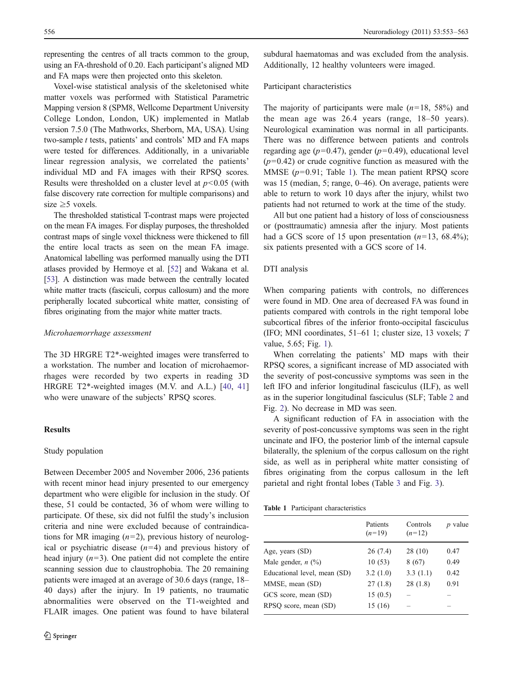representing the centres of all tracts common to the group, using an FA-threshold of 0.20. Each participant's aligned MD and FA maps were then projected onto this skeleton.

Voxel-wise statistical analysis of the skeletonised white matter voxels was performed with Statistical Parametric Mapping version 8 (SPM8, Wellcome Department University College London, London, UK) implemented in Matlab version 7.5.0 (The Mathworks, Sherborn, MA, USA). Using two-sample  $t$  tests, patients' and controls' MD and FA maps were tested for differences. Additionally, in a univariable linear regression analysis, we correlated the patients' individual MD and FA images with their RPSQ scores. Results were thresholded on a cluster level at  $p<0.05$  (with false discovery rate correction for multiple comparisons) and size  $\geq$ 5 voxels.

The thresholded statistical T-contrast maps were projected on the mean FA images. For display purposes, the thresholded contrast maps of single voxel thickness were thickened to fill the entire local tracts as seen on the mean FA image. Anatomical labelling was performed manually using the DTI atlases provided by Hermoye et al. [[52](#page-9-0)] and Wakana et al. [\[53\]](#page-9-0). A distinction was made between the centrally located white matter tracts (fasciculi, corpus callosum) and the more peripherally located subcortical white matter, consisting of fibres originating from the major white matter tracts.

#### Microhaemorrhage assessment

The 3D HRGRE T2\*-weighted images were transferred to a workstation. The number and location of microhaemorrhages were recorded by two experts in reading 3D HRGRE T2\*-weighted images (M.V. and A.L.) [[40,](#page-9-0) [41\]](#page-9-0) who were unaware of the subjects' RPSQ scores.

## Results

#### Study population

Between December 2005 and November 2006, 236 patients with recent minor head injury presented to our emergency department who were eligible for inclusion in the study. Of these, 51 could be contacted, 36 of whom were willing to participate. Of these, six did not fulfil the study's inclusion criteria and nine were excluded because of contraindications for MR imaging  $(n=2)$ , previous history of neurological or psychiatric disease  $(n=4)$  and previous history of head injury  $(n=3)$ . One patient did not complete the entire scanning session due to claustrophobia. The 20 remaining patients were imaged at an average of 30.6 days (range, 18– 40 days) after the injury. In 19 patients, no traumatic abnormalities were observed on the T1-weighted and FLAIR images. One patient was found to have bilateral

subdural haematomas and was excluded from the analysis. Additionally, 12 healthy volunteers were imaged.

## Participant characteristics

The majority of participants were male  $(n=18, 58%)$  and the mean age was 26.4 years (range, 18–50 years). Neurological examination was normal in all participants. There was no difference between patients and controls regarding age ( $p=0.47$ ), gender ( $p=0.49$ ), educational level  $(p=0.42)$  or crude cognitive function as measured with the MMSE  $(p=0.91;$  Table 1). The mean patient RPSQ score was 15 (median, 5; range, 0–46). On average, patients were able to return to work 10 days after the injury, whilst two patients had not returned to work at the time of the study.

All but one patient had a history of loss of consciousness or (posttraumatic) amnesia after the injury. Most patients had a GCS score of 15 upon presentation  $(n=13, 68.4\%)$ ; six patients presented with a GCS score of 14.

#### DTI analysis

When comparing patients with controls, no differences were found in MD. One area of decreased FA was found in patients compared with controls in the right temporal lobe subcortical fibres of the inferior fronto-occipital fasciculus (IFO; MNI coordinates, 51–61 1; cluster size, 13 voxels; T value, 5.65; Fig. [1\)](#page-4-0).

When correlating the patients' MD maps with their RPSQ scores, a significant increase of MD associated with the severity of post-concussive symptoms was seen in the left IFO and inferior longitudinal fasciculus (ILF), as well as in the superior longitudinal fasciculus (SLF; Table [2](#page-4-0) and Fig. [2](#page-5-0)). No decrease in MD was seen.

A significant reduction of FA in association with the severity of post-concussive symptoms was seen in the right uncinate and IFO, the posterior limb of the internal capsule bilaterally, the splenium of the corpus callosum on the right side, as well as in peripheral white matter consisting of fibres originating from the corpus callosum in the left parietal and right frontal lobes (Table [3](#page-5-0) and Fig. [3](#page-6-0)).

|  |  | Table 1 Participant characteristics |
|--|--|-------------------------------------|
|--|--|-------------------------------------|

|                                             | Patients<br>$(n=19)$ | Controls<br>$(n=12)$ | $p$ value |
|---------------------------------------------|----------------------|----------------------|-----------|
| Age, years (SD)                             | 26 (7.4)             | 28 (10)              | 0.47      |
| Male gender, $n$ $\left(\frac{9}{0}\right)$ | 10(53)               | 8(67)                | 0.49      |
| Educational level, mean (SD)                | 3.2(1.0)             | 3.3(1.1)             | 0.42      |
| MMSE, mean (SD)                             | 27(1.8)              | 28(1.8)              | 0.91      |
| GCS score, mean (SD)                        | 15(0.5)              |                      |           |
| RPSQ score, mean (SD)                       | 15(16)               |                      |           |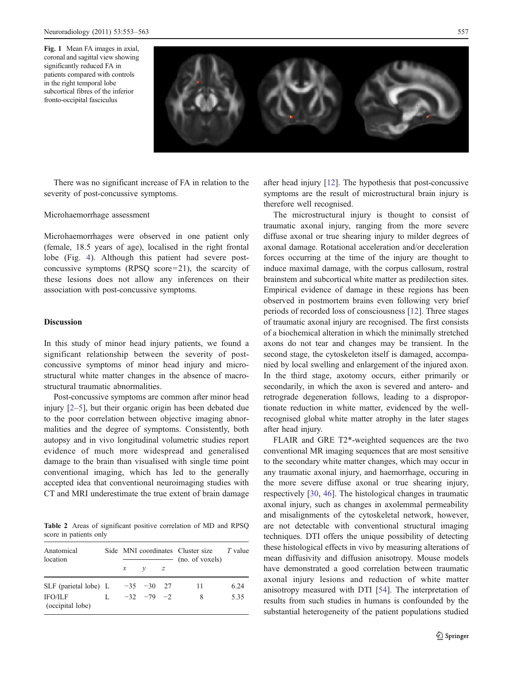<span id="page-4-0"></span>Fig. 1 Mean FA images in axial, coronal and sagittal view showing significantly reduced FA in patients compared with controls in the right temporal lobe subcortical fibres of the inferior fronto-occipital fasciculus



There was no significant increase of FA in relation to the severity of post-concussive symptoms.

## Microhaemorrhage assessment

Microhaemorrhages were observed in one patient only (female, 18.5 years of age), localised in the right frontal lobe (Fig. [4](#page-7-0)). Although this patient had severe postconcussive symptoms (RPSQ score=21), the scarcity of these lesions does not allow any inferences on their association with post-concussive symptoms.

#### **Discussion**

In this study of minor head injury patients, we found a significant relationship between the severity of postconcussive symptoms of minor head injury and microstructural white matter changes in the absence of macrostructural traumatic abnormalities.

Post-concussive symptoms are common after minor head injury [\[2](#page-8-0)–[5](#page-8-0)], but their organic origin has been debated due to the poor correlation between objective imaging abnormalities and the degree of symptoms. Consistently, both autopsy and in vivo longitudinal volumetric studies report evidence of much more widespread and generalised damage to the brain than visualised with single time point conventional imaging, which has led to the generally accepted idea that conventional neuroimaging studies with CT and MRI underestimate the true extent of brain damage

Table 2 Areas of significant positive correlation of MD and RPSQ score in patients only

| Anatomical<br>location             |    | Side MNI coordinates Cluster size |                |          | (no. of voxels) | <i>T</i> value |
|------------------------------------|----|-----------------------------------|----------------|----------|-----------------|----------------|
|                                    |    | $\mathcal{X}$                     |                | <i>z</i> |                 |                |
| SLF (parietal lobe) L              |    |                                   | $-35$ $-30$ 27 |          | -11             | 6.24           |
| <b>IFO/ILF</b><br>(occipital lobe) | Т. |                                   | $-32 - 79 - 2$ |          | 8               | 5.35           |

after head injury [[12](#page-8-0)]. The hypothesis that post-concussive symptoms are the result of microstructural brain injury is therefore well recognised.

The microstructural injury is thought to consist of traumatic axonal injury, ranging from the more severe diffuse axonal or true shearing injury to milder degrees of axonal damage. Rotational acceleration and/or deceleration forces occurring at the time of the injury are thought to induce maximal damage, with the corpus callosum, rostral brainstem and subcortical white matter as predilection sites. Empirical evidence of damage in these regions has been observed in postmortem brains even following very brief periods of recorded loss of consciousness [\[12](#page-8-0)]. Three stages of traumatic axonal injury are recognised. The first consists of a biochemical alteration in which the minimally stretched axons do not tear and changes may be transient. In the second stage, the cytoskeleton itself is damaged, accompanied by local swelling and enlargement of the injured axon. In the third stage, axotomy occurs, either primarily or secondarily, in which the axon is severed and antero- and retrograde degeneration follows, leading to a disproportionate reduction in white matter, evidenced by the wellrecognised global white matter atrophy in the later stages after head injury.

FLAIR and GRE T2\*-weighted sequences are the two conventional MR imaging sequences that are most sensitive to the secondary white matter changes, which may occur in any traumatic axonal injury, and haemorrhage, occuring in the more severe diffuse axonal or true shearing injury, respectively [[30,](#page-9-0) [46](#page-9-0)]. The histological changes in traumatic axonal injury, such as changes in axolemmal permeability and misalignments of the cytoskeletal network, however, are not detectable with conventional structural imaging techniques. DTI offers the unique possibility of detecting these histological effects in vivo by measuring alterations of mean diffusivity and diffusion anisotropy. Mouse models have demonstrated a good correlation between traumatic axonal injury lesions and reduction of white matter anisotropy measured with DTI [[54\]](#page-9-0). The interpretation of results from such studies in humans is confounded by the substantial heterogeneity of the patient populations studied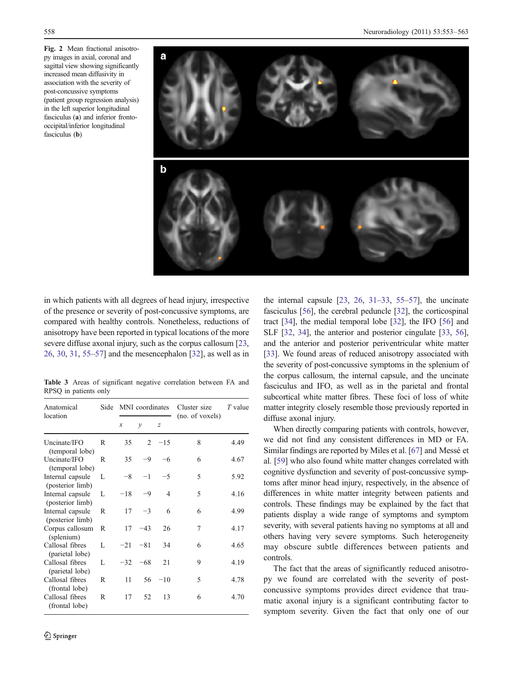<span id="page-5-0"></span>Fig. 2 Mean fractional anisotropy images in axial, coronal and sagittal view showing significantly increased mean diffusivity in association with the severity of post-concussive symptoms (patient group regression analysis) in the left superior longitudinal fasciculus (a) and inferior frontooccipital/inferior longitudinal fasciculus (b)



in which patients with all degrees of head injury, irrespective of the presence or severity of post-concussive symptoms, are compared with healthy controls. Nonetheless, reductions of anisotropy have been reported in typical locations of the more severe diffuse axonal injury, such as the corpus callosum [[23,](#page-9-0) [26,](#page-9-0) [30,](#page-9-0) [31,](#page-9-0) [55](#page-9-0)–[57](#page-10-0)] and the mesencephalon [[32\]](#page-9-0), as well as in

Table 3 Areas of significant negative correlation between FA and RPSQ in patients only

| Anatomical<br>location               | Side | MNI coordinates |                |                             | Cluster size    | $T$ value |
|--------------------------------------|------|-----------------|----------------|-----------------------------|-----------------|-----------|
|                                      |      | $\mathcal{X}$   | $\mathcal{V}$  | $\mathcal{Z}_{\mathcal{Z}}$ | (no. of voxels) |           |
| Uncinate/IFO<br>(temporal lobe)      | R    | 35              | $\mathfrak{D}$ | $-1.5$                      | 8               | 4.49      |
| Uncinate/IFO<br>(temporal lobe)      | R    | 35              | $-9$           | $-6$                        | 6               | 4.67      |
| Internal capsule<br>(posterior limb) | L    | $-8$            | $-1$           | $-5$                        | 5               | 5.92      |
| Internal capsule<br>(posterior limb) | L    | $-18$           | $-9$           | $\overline{4}$              | 5               | 4.16      |
| Internal capsule<br>(posterior limb) | R    | 17              | $-3$           | 6                           | 6               | 4.99      |
| Corpus callosum<br>(splenium)        | R    | 17              | $-43$          | 26                          | 7               | 4.17      |
| Callosal fibres<br>(parietal lobe)   | L    | $-21$           | $-81$          | 34                          | 6               | 4.65      |
| Callosal fibres<br>(parietal lobe)   | L    | $-32.$          | $-68$          | 21                          | 9               | 4.19      |
| Callosal fibres<br>(frontal lobe)    | R    | 11              | 56             | $-10$                       | 5               | 4.78      |
| Callosal fibres<br>(frontal lobe)    | R    | 17              | 52             | 13                          | 6               | 4.70      |

the internal capsule  $[23, 26, 31-33, 55-57]$  $[23, 26, 31-33, 55-57]$  $[23, 26, 31-33, 55-57]$  $[23, 26, 31-33, 55-57]$  $[23, 26, 31-33, 55-57]$  $[23, 26, 31-33, 55-57]$  $[23, 26, 31-33, 55-57]$  $[23, 26, 31-33, 55-57]$  $[23, 26, 31-33, 55-57]$  $[23, 26, 31-33, 55-57]$  $[23, 26, 31-33, 55-57]$  $[23, 26, 31-33, 55-57]$ , the uncinate fasciculus [\[56\]](#page-10-0), the cerebral peduncle [[32](#page-9-0)], the corticospinal tract [[34\]](#page-9-0), the medial temporal lobe [\[32](#page-9-0)], the IFO [\[56](#page-10-0)] and SLF [[32,](#page-9-0) [34\]](#page-9-0), the anterior and posterior cingulate [[33,](#page-9-0) [56\]](#page-10-0), and the anterior and posterior periventricular white matter [\[33](#page-9-0)]. We found areas of reduced anisotropy associated with the severity of post-concussive symptoms in the splenium of the corpus callosum, the internal capsule, and the uncinate fasciculus and IFO, as well as in the parietal and frontal subcortical white matter fibres. These foci of loss of white matter integrity closely resemble those previously reported in diffuse axonal injury.

When directly comparing patients with controls, however, we did not find any consistent differences in MD or FA. Similar findings are reported by Miles et al. [\[67](#page-10-0)] and Messé et al. [\[59](#page-10-0)] who also found white matter changes correlated with cognitive dysfunction and severity of post-concussive symptoms after minor head injury, respectively, in the absence of differences in white matter integrity between patients and controls. These findings may be explained by the fact that patients display a wide range of symptoms and symptom severity, with several patients having no symptoms at all and others having very severe symptoms. Such heterogeneity may obscure subtle differences between patients and controls.

The fact that the areas of significantly reduced anisotropy we found are correlated with the severity of postconcussive symptoms provides direct evidence that traumatic axonal injury is a significant contributing factor to symptom severity. Given the fact that only one of our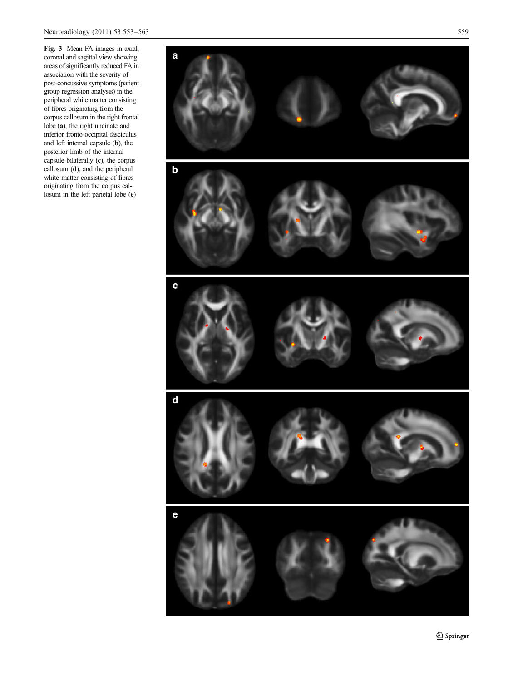<span id="page-6-0"></span>Fig. 3 Mean FA images in axial, coronal and sagittal view showing areas of significantly reduced FA in association with the severity of post-concussive symptoms (patient group regression analysis) in the peripheral white matter consisting of fibres originating from the corpus callosum in the right frontal lobe ( a), the right uncinate and inferior fronto-occipital fasciculus and left internal capsule ( b), the posterior limb of the internal capsule bilaterally ( c), the corpus callosum ( d), and the peripheral white matter consisting of fibres originating from the corpus callosum in the left parietal lobe (e )

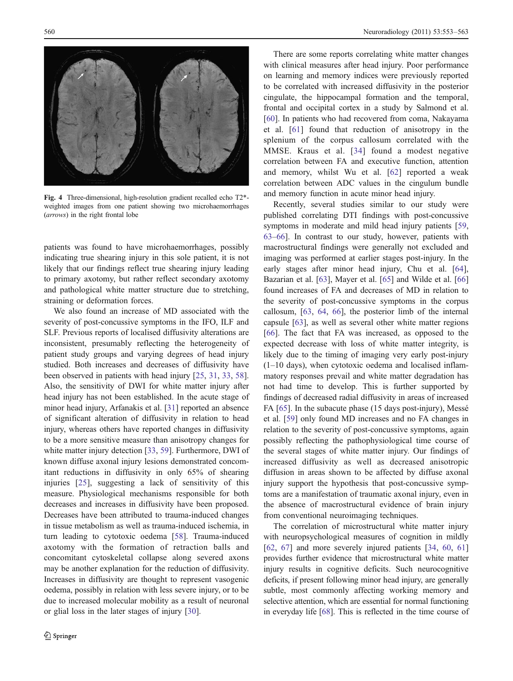<span id="page-7-0"></span>

Fig. 4 Three-dimensional, high-resolution gradient recalled echo T2\* weighted images from one patient showing two microhaemorrhages (arrows) in the right frontal lobe

patients was found to have microhaemorrhages, possibly indicating true shearing injury in this sole patient, it is not likely that our findings reflect true shearing injury leading to primary axotomy, but rather reflect secondary axotomy and pathological white matter structure due to stretching, straining or deformation forces.

We also found an increase of MD associated with the severity of post-concussive symptoms in the IFO, ILF and SLF. Previous reports of localised diffusivity alterations are inconsistent, presumably reflecting the heterogeneity of patient study groups and varying degrees of head injury studied. Both increases and decreases of diffusivity have been observed in patients with head injury [\[25](#page-9-0), [31,](#page-9-0) [33](#page-9-0), [58](#page-10-0)]. Also, the sensitivity of DWI for white matter injury after head injury has not been established. In the acute stage of minor head injury, Arfanakis et al. [\[31](#page-9-0)] reported an absence of significant alteration of diffusivity in relation to head injury, whereas others have reported changes in diffusivity to be a more sensitive measure than anisotropy changes for white matter injury detection [\[33](#page-9-0), [59](#page-10-0)]. Furthermore, DWI of known diffuse axonal injury lesions demonstrated concomitant reductions in diffusivity in only 65% of shearing injuries [[25](#page-9-0)], suggesting a lack of sensitivity of this measure. Physiological mechanisms responsible for both decreases and increases in diffusivity have been proposed. Decreases have been attributed to trauma-induced changes in tissue metabolism as well as trauma-induced ischemia, in turn leading to cytotoxic oedema [[58\]](#page-10-0). Trauma-induced axotomy with the formation of retraction balls and concomitant cytoskeletal collapse along severed axons may be another explanation for the reduction of diffusivity. Increases in diffusivity are thought to represent vasogenic oedema, possibly in relation with less severe injury, or to be due to increased molecular mobility as a result of neuronal or glial loss in the later stages of injury [[30\]](#page-9-0).

There are some reports correlating white matter changes with clinical measures after head injury. Poor performance on learning and memory indices were previously reported to be correlated with increased diffusivity in the posterior cingulate, the hippocampal formation and the temporal, frontal and occipital cortex in a study by Salmond et al. [\[60](#page-10-0)]. In patients who had recovered from coma, Nakayama et al. [[61](#page-10-0)] found that reduction of anisotropy in the splenium of the corpus callosum correlated with the MMSE. Kraus et al. [[34](#page-9-0)] found a modest negative correlation between FA and executive function, attention and memory, whilst Wu et al. [[62](#page-10-0)] reported a weak correlation between ADC values in the cingulum bundle and memory function in acute minor head injury.

Recently, several studies similar to our study were published correlating DTI findings with post-concussive symptoms in moderate and mild head injury patients [[59,](#page-10-0) [63](#page-10-0)–[66](#page-10-0)]. In contrast to our study, however, patients with macrostructural findings were generally not excluded and imaging was performed at earlier stages post-injury. In the early stages after minor head injury, Chu et al. [[64\]](#page-10-0), Bazarian et al. [\[63](#page-10-0)], Mayer et al. [\[65](#page-10-0)] and Wilde et al. [\[66](#page-10-0)] found increases of FA and decreases of MD in relation to the severity of post-concussive symptoms in the corpus callosum, [\[63](#page-10-0), [64,](#page-10-0) [66\]](#page-10-0), the posterior limb of the internal capsule [[63\]](#page-10-0), as well as several other white matter regions [\[66](#page-10-0)]. The fact that FA was increased, as opposed to the expected decrease with loss of white matter integrity, is likely due to the timing of imaging very early post-injury  $(1-10$  days), when cytotoxic oedema and localised inflammatory responses prevail and white matter degradation has not had time to develop. This is further supported by findings of decreased radial diffusivity in areas of increased FA [[65\]](#page-10-0). In the subacute phase (15 days post-injury), Messé et al. [[59\]](#page-10-0) only found MD increases and no FA changes in relation to the severity of post-concussive symptoms, again possibly reflecting the pathophysiological time course of the several stages of white matter injury. Our findings of increased diffusivity as well as decreased anisotropic diffusion in areas shown to be affected by diffuse axonal injury support the hypothesis that post-concussive symptoms are a manifestation of traumatic axonal injury, even in the absence of macrostructural evidence of brain injury from conventional neuroimaging techniques.

The correlation of microstructural white matter injury with neuropsychological measures of cognition in mildly [\[62](#page-10-0), [67](#page-10-0)] and more severely injured patients [[34,](#page-9-0) [60,](#page-10-0) [61](#page-10-0)] provides further evidence that microstructural white matter injury results in cognitive deficits. Such neurocognitive deficits, if present following minor head injury, are generally subtle, most commonly affecting working memory and selective attention, which are essential for normal functioning in everyday life [[68\]](#page-10-0). This is reflected in the time course of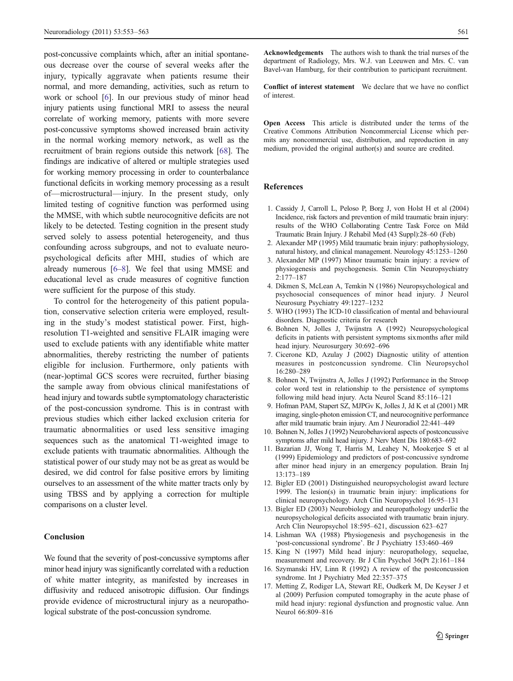<span id="page-8-0"></span>post-concussive complaints which, after an initial spontaneous decrease over the course of several weeks after the injury, typically aggravate when patients resume their normal, and more demanding, activities, such as return to work or school [6]. In our previous study of minor head injury patients using functional MRI to assess the neural correlate of working memory, patients with more severe post-concussive symptoms showed increased brain activity in the normal working memory network, as well as the recruitment of brain regions outside this network [[68\]](#page-10-0). The findings are indicative of altered or multiple strategies used for working memory processing in order to counterbalance functional deficits in working memory processing as a result of—microstructural—injury. In the present study, only limited testing of cognitive function was performed using the MMSE, with which subtle neurocognitive deficits are not likely to be detected. Testing cognition in the present study served solely to assess potential heterogeneity, and thus confounding across subgroups, and not to evaluate neuropsychological deficits after MHI, studies of which are already numerous [6–8]. We feel that using MMSE and educational level as crude measures of cognitive function were sufficient for the purpose of this study.

To control for the heterogeneity of this patient population, conservative selection criteria were employed, resulting in the study's modest statistical power. First, highresolution T1-weighted and sensitive FLAIR imaging were used to exclude patients with any identifiable white matter abnormalities, thereby restricting the number of patients eligible for inclusion. Furthermore, only patients with (near-)optimal GCS scores were recruited, further biasing the sample away from obvious clinical manifestations of head injury and towards subtle symptomatology characteristic of the post-concussion syndrome. This is in contrast with previous studies which either lacked exclusion criteria for traumatic abnormalities or used less sensitive imaging sequences such as the anatomical T1-weighted image to exclude patients with traumatic abnormalities. Although the statistical power of our study may not be as great as would be desired, we did control for false positive errors by limiting ourselves to an assessment of the white matter tracts only by using TBSS and by applying a correction for multiple comparisons on a cluster level.

# Conclusion

We found that the severity of post-concussive symptoms after minor head injury was significantly correlated with a reduction of white matter integrity, as manifested by increases in diffusivity and reduced anisotropic diffusion. Our findings provide evidence of microstructural injury as a neuropathological substrate of the post-concussion syndrome.

Acknowledgements The authors wish to thank the trial nurses of the department of Radiology, Mrs. W.J. van Leeuwen and Mrs. C. van Bavel-van Hamburg, for their contribution to participant recruitment.

Conflict of interest statement We declare that we have no conflict of interest.

Open Access This article is distributed under the terms of the Creative Commons Attribution Noncommercial License which permits any noncommercial use, distribution, and reproduction in any medium, provided the original author(s) and source are credited.

# References

- 1. Cassidy J, Carroll L, Peloso P, Borg J, von Holst H et al (2004) Incidence, risk factors and prevention of mild traumatic brain injury: results of the WHO Collaborating Centre Task Force on Mild Traumatic Brain Injury. J Rehabil Med (43 Suppl):28–60 (Feb)
- 2. Alexander MP (1995) Mild traumatic brain injury: pathophysiology, natural history, and clinical management. Neurology 45:1253–1260
- 3. Alexander MP (1997) Minor traumatic brain injury: a review of physiogenesis and psychogenesis. Semin Clin Neuropsychiatry 2:177–187
- 4. Dikmen S, McLean A, Temkin N (1986) Neuropsychological and psychosocial consequences of minor head injury. J Neurol Neurosurg Psychiatry 49:1227–1232
- 5. WHO (1993) The ICD-10 classification of mental and behavioural disorders. Diagnostic criteria for research
- 6. Bohnen N, Jolles J, Twijnstra A (1992) Neuropsychological deficits in patients with persistent symptoms sixmonths after mild head injury. Neurosurgery 30:692–696
- 7. Cicerone KD, Azulay J (2002) Diagnostic utility of attention measures in postconcussion syndrome. Clin Neuropsychol 16:280–289
- 8. Bohnen N, Twijnstra A, Jolles J (1992) Performance in the Stroop color word test in relationship to the persistence of symptoms following mild head injury. Acta Neurol Scand 85:116–121
- 9. Hofman PAM, Stapert SZ, MJPGv K, Jolles J, Jd K et al (2001) MR imaging, single-photon emission CT, and neurocognitive performance after mild traumatic brain injury. Am J Neuroradiol 22:441–449
- 10. Bohnen N, Jolles J (1992) Neurobehavioral aspects of postconcussive symptoms after mild head injury. J Nerv Ment Dis 180:683–692
- 11. Bazarian JJ, Wong T, Harris M, Leahey N, Mookerjee S et al (1999) Epidemiology and predictors of post-concussive syndrome after minor head injury in an emergency population. Brain Inj 13:173–189
- 12. Bigler ED (2001) Distinguished neuropsychologist award lecture 1999. The lesion(s) in traumatic brain injury: implications for clinical neuropsychology. Arch Clin Neuropsychol 16:95–131
- 13. Bigler ED (2003) Neurobiology and neuropathology underlie the neuropsychological deficits associated with traumatic brain injury. Arch Clin Neuropsychol 18:595–621, discussion 623–627
- 14. Lishman WA (1988) Physiogenesis and psychogenesis in the 'post-concussional syndrome'. Br J Psychiatry 153:460–469
- 15. King N (1997) Mild head injury: neuropathology, sequelae, measurement and recovery. Br J Clin Psychol 36(Pt 2):161–184
- 16. Szymanski HV, Linn R (1992) A review of the postconcussion syndrome. Int J Psychiatry Med 22:357–375
- 17. Metting Z, Rodiger LA, Stewart RE, Oudkerk M, De Keyser J et al (2009) Perfusion computed tomography in the acute phase of mild head injury: regional dysfunction and prognostic value. Ann Neurol 66:809–816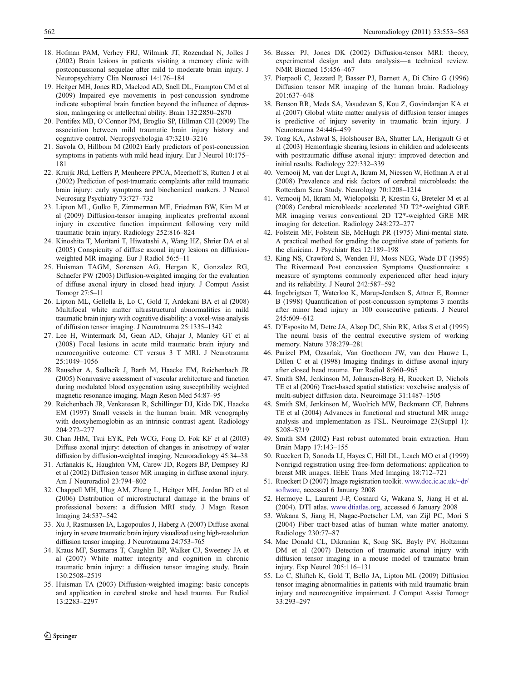- <span id="page-9-0"></span>18. Hofman PAM, Verhey FRJ, Wilmink JT, Rozendaal N, Jolles J (2002) Brain lesions in patients visiting a memory clinic with postconcussional sequelae after mild to moderate brain injury. J Neuropsychiatry Clin Neurosci 14:176–184
- 19. Heitger MH, Jones RD, Macleod AD, Snell DL, Frampton CM et al (2009) Impaired eye movements in post-concussion syndrome indicate suboptimal brain function beyond the influence of depression, malingering or intellectual ability. Brain 132:2850–2870
- 20. Pontifex MB, O'Connor PM, Broglio SP, Hillman CH (2009) The association between mild traumatic brain injury history and cognitive control. Neuropsychologia 47:3210–3216
- 21. Savola O, Hillbom M (2002) Early predictors of post-concussion symptoms in patients with mild head injury. Eur J Neurol 10:175– 181
- 22. Kruijk JRd, Leffers P, Menheere PPCA, Meerhoff S, Rutten J et al (2002) Prediction of post-traumatic complaints after mild traumatic brain injury: early symptoms and biochemical markers. J Neurol Neurosurg Psychiatry 73:727–732
- 23. Lipton ML, Gulko E, Zimmerman ME, Friedman BW, Kim M et al (2009) Diffusion-tensor imaging implicates prefrontal axonal injury in executive function impairment following very mild traumatic brain injury. Radiology 252:816–824
- 24. Kinoshita T, Moritani T, Hiwatashi A, Wang HZ, Shrier DA et al (2005) Conspicuity of diffuse axonal injury lesions on diffusionweighted MR imaging. Eur J Radiol 56:5–11
- 25. Huisman TAGM, Sorensen AG, Hergan K, Gonzalez RG, Schaefer PW (2003) Diffusion-weighted imaging for the evaluation of diffuse axonal injury in closed head injury. J Comput Assist Tomogr 27:5–11
- 26. Lipton ML, Gellella E, Lo C, Gold T, Ardekani BA et al (2008) Multifocal white matter ultrastructural abnormalities in mild traumatic brain injury with cognitive disability: a voxel-wise analysis of diffusion tensor imaging. J Neurotrauma 25:1335–1342
- 27. Lee H, Wintermark M, Gean AD, Ghajar J, Manley GT et al (2008) Focal lesions in acute mild traumatic brain injury and neurocognitive outcome: CT versus 3 T MRI. J Neurotrauma 25:1049–1056
- 28. Rauscher A, Sedlacik J, Barth M, Haacke EM, Reichenbach JR (2005) Nonnvasive assessment of vascular architecture and function during modulated blood oxygenation using susceptibility weighted magnetic resonance imaging. Magn Reson Med 54:87–95
- 29. Reichenbach JR, Venkatesan R, Schillinger DJ, Kido DK, Haacke EM (1997) Small vessels in the human brain: MR venography with deoxyhemoglobin as an intrinsic contrast agent. Radiology 204:272–277
- 30. Chan JHM, Tsui EYK, Peh WCG, Fong D, Fok KF et al (2003) Diffuse axonal injury: detection of changes in anisotropy of water diffusion by diffusion-weighted imaging. Neuroradiology 45:34–38
- 31. Arfanakis K, Haughton VM, Carew JD, Rogers BP, Dempsey RJ et al (2002) Diffusion tensor MR imaging in diffuse axonal injury. Am J Neuroradiol 23:794–802
- 32. Chappell MH, Ulug AM, Zhang L, Heitger MH, Jordan BD et al (2006) Distribution of microstructural damage in the brains of professional boxers: a diffusion MRI study. J Magn Reson Imaging 24:537–542
- 33. Xu J, Rasmussen IA, Lagopoulos J, Haberg A (2007) Diffuse axonal injury in severe traumatic brain injury visualized using high-resolution diffusion tensor imaging. J Neurotrauma 24:753–765
- 34. Kraus MF, Susmaras T, Caughlin BP, Walker CJ, Sweeney JA et al (2007) White matter integrity and cognition in chronic traumatic brain injury: a diffusion tensor imaging study. Brain 130:2508–2519
- 35. Huisman TA (2003) Diffusion-weighted imaging: basic concepts and application in cerebral stroke and head trauma. Eur Radiol 13:2283–2297
- 36. Basser PJ, Jones DK (2002) Diffusion-tensor MRI: theory, experimental design and data analysis—a technical review. NMR Biomed 15:456–467
- 37. Pierpaoli C, Jezzard P, Basser PJ, Barnett A, Di Chiro G (1996) Diffusion tensor MR imaging of the human brain. Radiology 201:637–648
- 38. Benson RR, Meda SA, Vasudevan S, Kou Z, Govindarajan KA et al (2007) Global white matter analysis of diffusion tensor images is predictive of injury severity in traumatic brain injury. J Neurotrauma 24:446–459
- 39. Tong KA, Ashwal S, Holshouser BA, Shutter LA, Herigault G et al (2003) Hemorrhagic shearing lesions in children and adolescents with posttraumatic diffuse axonal injury: improved detection and initial results. Radiology 227:332–339
- 40. Vernooij M, van der Lugt A, Ikram M, Niessen W, Hofman A et al (2008) Prevalence and risk factors of cerebral microbleeds: the Rotterdam Scan Study. Neurology 70:1208–1214
- 41. Vernooij M, Ikram M, Wielopolski P, Krestin G, Breteler M et al (2008) Cerebral microbleeds: accelerated 3D T2\*-weighted GRE MR imaging versus conventional 2D T2\*-weighted GRE MR imaging for detection. Radiology 248:272–277
- 42. Folstein MF, Folstein SE, McHugh PR (1975) Mini-mental state. A practical method for grading the cognitive state of patients for the clinician. J Psychiatr Res 12:189–198
- 43. King NS, Crawford S, Wenden FJ, Moss NEG, Wade DT (1995) The Rivermead Post concussion Symptoms Questionnaire: a measure of symptoms commonly experienced after head injury and its reliability. J Neurol 242:587–592
- 44. Ingebrigtsen T, Waterloo K, Marup-Jendsen S, Attner E, Romner B (1998) Quantification of post-concussion symptoms 3 months after minor head injury in 100 consecutive patients. J Neurol 245:609–612
- 45. D'Esposito M, Detre JA, Alsop DC, Shin RK, Atlas S et al (1995) The neural basis of the central executive system of working memory. Nature 378:279–281
- 46. Parizel PM, Ozsarlak, Van Goethoem JW, van den Hauwe L, Dillen C et al (1998) Imaging findings in diffuse axonal injury after closed head trauma. Eur Radiol 8:960–965
- 47. Smith SM, Jenkinson M, Johansen-Berg H, Rueckert D, Nichols TE et al (2006) Tract-based spatial statistics: voxelwise analysis of multi-subject diffusion data. Neuroimage 31:1487–1505
- 48. Smith SM, Jenkinson M, Woolrich MW, Beckmann CF, Behrens TE et al (2004) Advances in functional and structural MR image analysis and implementation as FSL. Neuroimage 23(Suppl 1): S208–S219
- 49. Smith SM (2002) Fast robust automated brain extraction. Hum Brain Mapp 17:143–155
- 50. Rueckert D, Sonoda LI, Hayes C, Hill DL, Leach MO et al (1999) Nonrigid registration using free-form deformations: application to breast MR images. IEEE Trans Med Imaging 18:712–721
- 51. Rueckert D (2007) Image registration toolkit. [www.doc.ic.ac.uk/~dr/](http://www.doc.ic.ac.uk/~dr/software) [software](http://www.doc.ic.ac.uk/~dr/software), accessed 6 January 2008
- 52. Hermoye L, Laurent J-P, Cosnard G, Wakana S, Jiang H et al. (2004). DTI atlas. [www.dtiatlas.org](http://www.dtiatlas.org), accessed 6 January 2008
- 53. Wakana S, Jiang H, Nagae-Poetscher LM, van Zijl PC, Mori S (2004) Fiber tract-based atlas of human white matter anatomy. Radiology 230:77–87
- 54. Mac Donald CL, Dikranian K, Song SK, Bayly PV, Holtzman DM et al (2007) Detection of traumatic axonal injury with diffusion tensor imaging in a mouse model of traumatic brain injury. Exp Neurol 205:116–131
- 55. Lo C, Shifteh K, Gold T, Bello JA, Lipton ML (2009) Diffusion tensor imaging abnormalities in patients with mild traumatic brain injury and neurocognitive impairment. J Comput Assist Tomogr 33:293–297